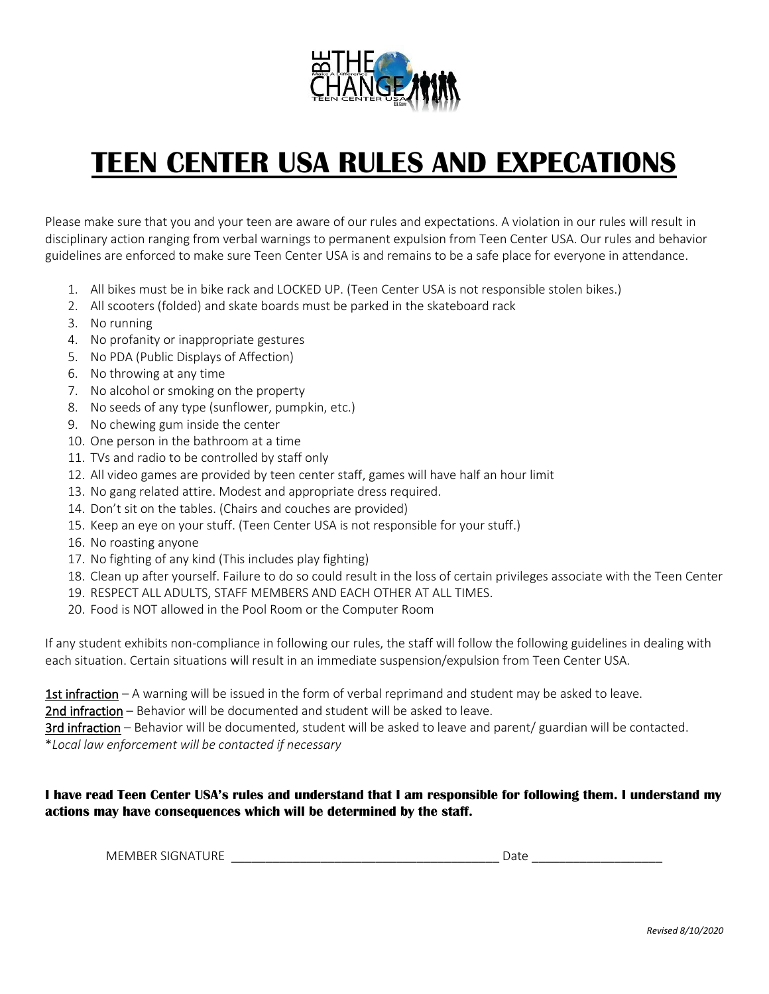

## **TEEN CENTER USA RULES AND EXPECATIONS**

Please make sure that you and your teen are aware of our rules and expectations. A violation in our rules will result in disciplinary action ranging from verbal warnings to permanent expulsion from Teen Center USA. Our rules and behavior guidelines are enforced to make sure Teen Center USA is and remains to be a safe place for everyone in attendance.

- 1. All bikes must be in bike rack and LOCKED UP. (Teen Center USA is not responsible stolen bikes.)
- 2. All scooters (folded) and skate boards must be parked in the skateboard rack
- 3. No running
- 4. No profanity or inappropriate gestures
- 5. No PDA (Public Displays of Affection)
- 6. No throwing at any time
- 7. No alcohol or smoking on the property
- 8. No seeds of any type (sunflower, pumpkin, etc.)
- 9. No chewing gum inside the center
- 10. One person in the bathroom at a time
- 11. TVs and radio to be controlled by staff only
- 12. All video games are provided by teen center staff, games will have half an hour limit
- 13. No gang related attire. Modest and appropriate dress required.
- 14. Don't sit on the tables. (Chairs and couches are provided)
- 15. Keep an eye on your stuff. (Teen Center USA is not responsible for your stuff.)
- 16. No roasting anyone
- 17. No fighting of any kind (This includes play fighting)
- 18. Clean up after yourself. Failure to do so could result in the loss of certain privileges associate with the Teen Center
- 19. RESPECT ALL ADULTS, STAFF MEMBERS AND EACH OTHER AT ALL TIMES.
- 20. Food is NOT allowed in the Pool Room or the Computer Room

If any student exhibits non-compliance in following our rules, the staff will follow the following guidelines in dealing with each situation. Certain situations will result in an immediate suspension/expulsion from Teen Center USA.

1st infraction – A warning will be issued in the form of verbal reprimand and student may be asked to leave.

2nd infraction – Behavior will be documented and student will be asked to leave.

3rd infraction – Behavior will be documented, student will be asked to leave and parent/ guardian will be contacted. \**Local law enforcement will be contacted if necessary*

### **I have read Teen Center USA's rules and understand that I am responsible for following them. I understand my actions may have consequences which will be determined by the staff.**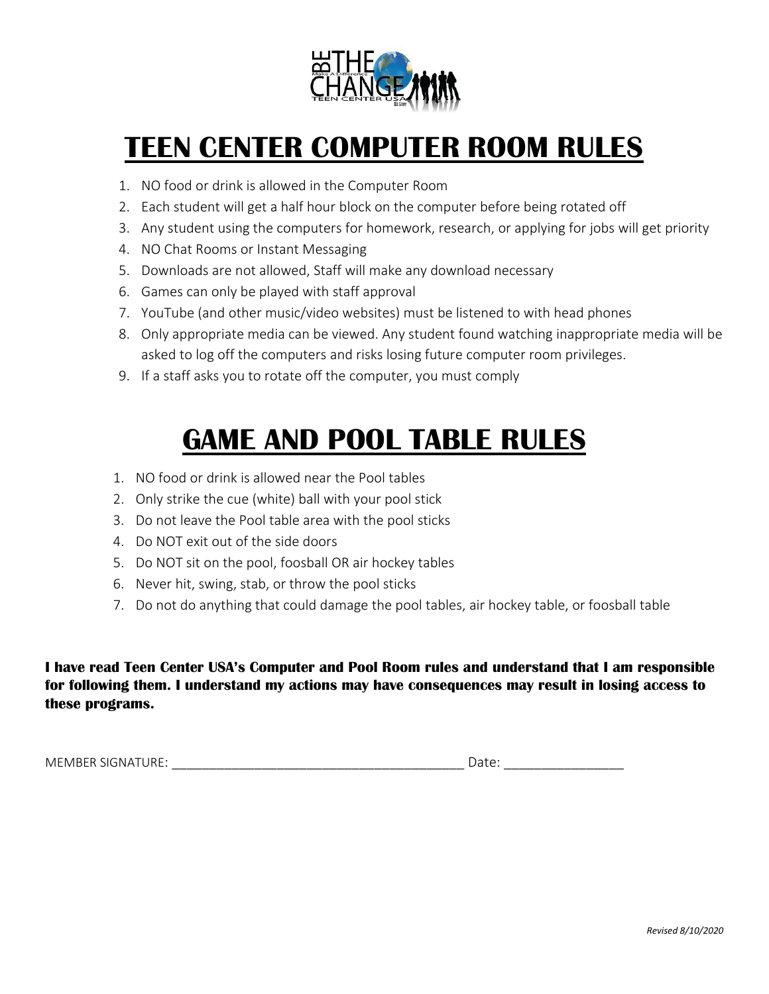

# **TEEN CENTER COMPUTER ROOM RULES**

- 1. NO food or drink is allowed in the Computer Room
- 2. Each student will get a half hour block on the computer before being rotated off
- 3. Any student using the computers for homework, research, or applying for jobs will get priority
- 4. NO Chat Rooms or Instant Messaging
- 5. Downloads are not allowed, Staff will make any download necessary
- 6. Games can only be played with staff approval
- 7. YouTube (and other music/video websites) must be listened to with head phones
- 8. Only appropriate media can be viewed. Any student found watching inappropriate media will be asked to log off the computers and risks losing future computer room privileges.
- 9. If a staff asks you to rotate off the computer, you must comply

## **GAME AND POOL TABLE RULES**

- 1. NO food or drink is allowed near the Pool tables
- 2. Only strike the cue (white) ball with your pool stick
- 3. Do not leave the Pool table area with the pool sticks
- 4. Do NOT exit out of the side doors
- 5. Do NOT sit on the pool, foosball OR air hockey tables
- 6. Never hit, swing, stab, or throw the pool sticks
- 7. Do not do anything that could damage the pool tables, air hockey table, or foosball table

**I have read Teen Center USA's Computer and Pool Room rules and understand that I am responsible for following them. I understand my actions may have consequences may result in losing access to these programs.**

MEMBER SIGNATURE: \_\_\_\_\_\_\_\_\_\_\_\_\_\_\_\_\_\_\_\_\_\_\_\_\_\_\_\_\_\_\_\_\_\_\_\_\_\_\_ Date: \_\_\_\_\_\_\_\_\_\_\_\_\_\_\_\_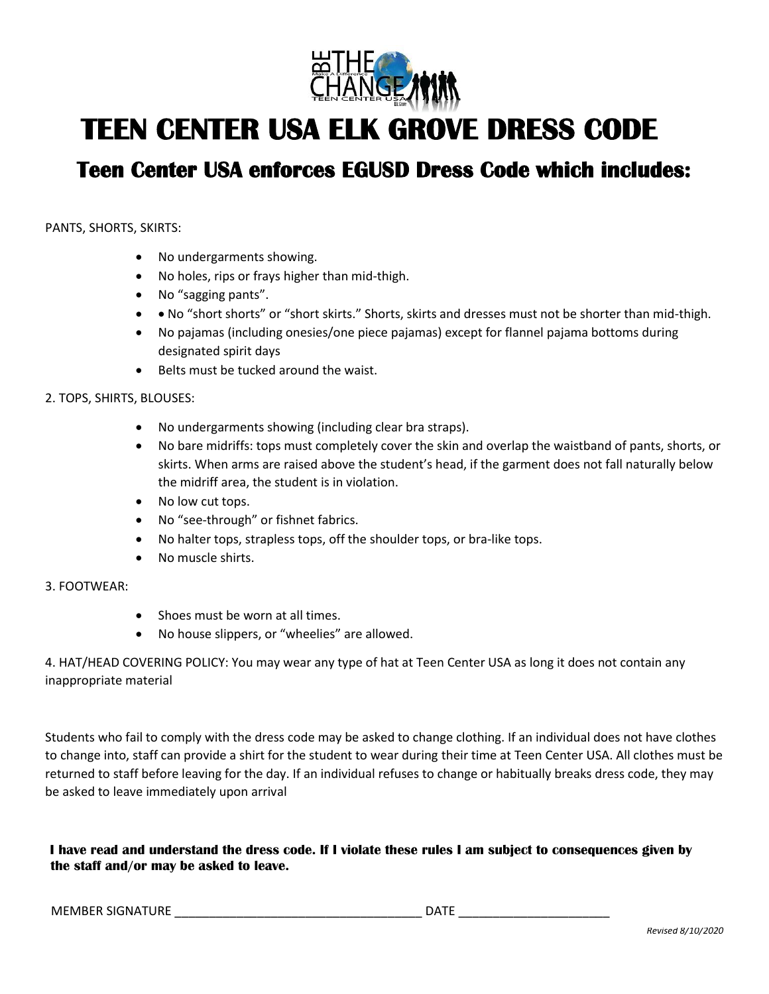

## **TEEN CENTER USA ELK GROVE DRESS CODE**

### **Teen Center USA enforces EGUSD Dress Code which includes:**

PANTS, SHORTS, SKIRTS:

- No undergarments showing.
- No holes, rips or frays higher than mid-thigh.
- No "sagging pants".
- • No "short shorts" or "short skirts." Shorts, skirts and dresses must not be shorter than mid-thigh.
- No pajamas (including onesies/one piece pajamas) except for flannel pajama bottoms during designated spirit days
- Belts must be tucked around the waist.

#### 2. TOPS, SHIRTS, BLOUSES:

- No undergarments showing (including clear bra straps).
- No bare midriffs: tops must completely cover the skin and overlap the waistband of pants, shorts, or skirts. When arms are raised above the student's head, if the garment does not fall naturally below the midriff area, the student is in violation.
- No low cut tops.
- No "see-through" or fishnet fabrics.
- No halter tops, strapless tops, off the shoulder tops, or bra-like tops.
- No muscle shirts.

#### 3. FOOTWEAR:

- Shoes must be worn at all times.
- No house slippers, or "wheelies" are allowed.

4. HAT/HEAD COVERING POLICY: You may wear any type of hat at Teen Center USA as long it does not contain any inappropriate material

Students who fail to comply with the dress code may be asked to change clothing. If an individual does not have clothes to change into, staff can provide a shirt for the student to wear during their time at Teen Center USA. All clothes must be returned to staff before leaving for the day. If an individual refuses to change or habitually breaks dress code, they may be asked to leave immediately upon arrival

**I have read and understand the dress code. If I violate these rules I am subject to consequences given by the staff and/or may be asked to leave.** 

MEMBER SIGNATURE \_\_\_\_\_\_\_\_\_\_\_\_\_\_\_\_\_\_\_\_\_\_\_\_\_\_\_\_\_\_\_\_\_\_\_\_ DATE \_\_\_\_\_\_\_\_\_\_\_\_\_\_\_\_\_\_\_\_\_\_